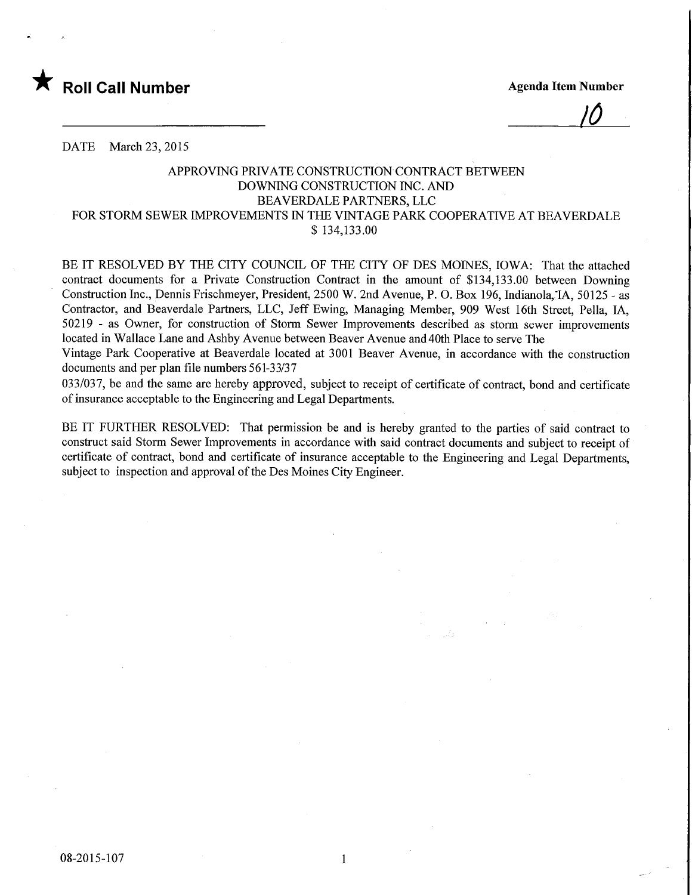

 $\frac{1}{\sqrt{2}}$ 

DATE March 23, 2015

## APPROVING PRIVATE CONSTRUCTION CONTRACT BETWEEN DOWNING CONSTRUCTION INC. AND BEAVERDALE PARTNERS, LLC FOR STORM SEWER IMPROVEMENTS IN THE VINTAGE PARK COOPERATIVE AT BEAVERDALE \$ 134,133.00

BE IT RESOLVED BY THE CITY COUNCIL OF THE CITY OF DES MOINES, IOWA: That the attached contract documents for a Private Construction Contract in the amount of \$134,133.00 between Downing Construction Inc., Dennis Frischmeyer, President, 2500 W. 2nd Avenue, P. 0. Box 196, Indianola,'IA, 50125 - as Contractor, and Beaverdale Partners, LLC, Jeff Ewing, Managing Member, 909 West 16th Street, Pella, IA, 50219 - as Owner, for construction of Storm Sewer Improvements described as storm sewer improvements located in Wallace Lane and Ashby Avenue between Beaver Avenue and 40th Place to serve The

Vintage Park Cooperative at Beaverdale located at 3001 Beaver Avenue, in accordance with the construction documents and per plan file numbers 561-33/37

033/037, be and the same are hereby approved, subject to receipt of certificate of contract, bond and certificate of insurance acceptable to the Engineering and Legal Departments.

BE IT FURTHER RESOLVED: That permission be and is hereby granted to the parties of said contract to construct said Storm Sewer Improvements in accordance with said contract documents and subject to receipt of certificate of contract, bond and certificate of insurance acceptable to the Engineering and Legal Departments, subject to inspection and approval of the Des Moines City Engineer.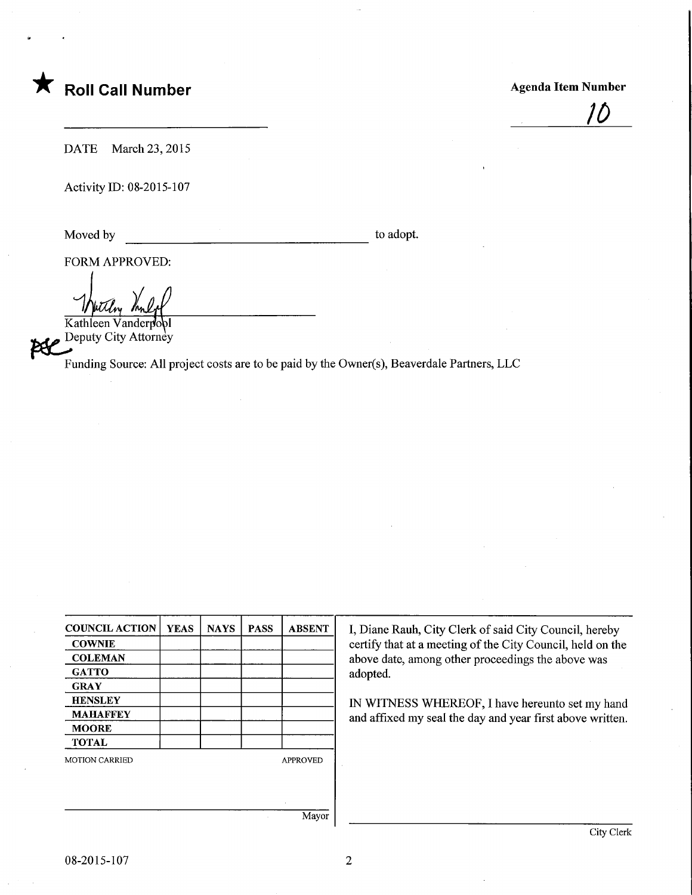## Roll Call Number **Agenda Item Number** Agenda Item Number

)0

DATE March 23, 2015

Activity ID: 08-2015-107

Moved by to adopt.

FORM APPROVED:

 $\mathcal{H}^D$ Kathleen Vanderpo Deputy City Attorney

Funding Source: All project costs are to be paid by the Owner(s), Beaverdale Partners, LLC

| <b>COUNCIL ACTION</b> | <b>YEAS</b> | <b>NAYS</b> | <b>PASS</b> | <b>ABSENT</b>   |
|-----------------------|-------------|-------------|-------------|-----------------|
| <b>COWNIE</b>         |             |             |             |                 |
| <b>COLEMAN</b>        |             |             |             |                 |
| <b>GATTO</b>          |             |             |             |                 |
| <b>GRAY</b>           |             |             |             |                 |
| <b>HENSLEY</b>        |             |             |             |                 |
| <b>MAHAFFEY</b>       |             |             |             |                 |
| <b>MOORE</b>          |             |             |             |                 |
| <b>TOTAL</b>          |             |             |             |                 |
| <b>MOTION CARRIED</b> |             |             |             | <b>APPROVED</b> |
|                       |             |             |             |                 |
|                       |             |             |             |                 |
|                       |             |             |             |                 |
|                       |             |             |             | Mayor           |

I, Diane Rauh, City Clerk of said City Council, hereby certify that at a meeting of the City Council, held on the above date, among other proceedings the above was adopted.

IN WITNESS WHEREOF, I have hereunto set my hand and affixed my seal the day and year first above written.